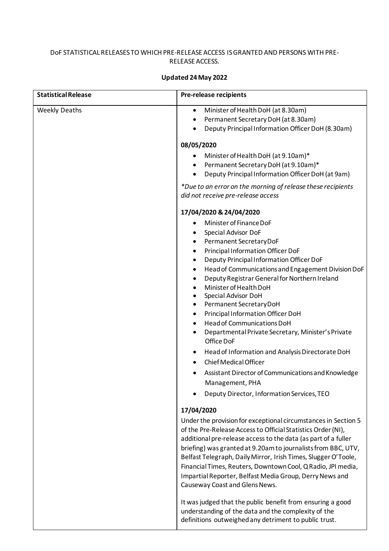## DoF STATISTICAL RELEASES TO WHICH PRE-RELEASE ACCESS IS GRANTED AND PERSONS WITH PRE-RELEASE ACCESS.

## **Updated 24May 2022**

| <b>Statistical Release</b> | <b>Pre-release recipients</b>                                                                                                                                                                                                                                                                                                                                                                                                                                                                                                                                                                                                                                                                                                                                                                                                      |
|----------------------------|------------------------------------------------------------------------------------------------------------------------------------------------------------------------------------------------------------------------------------------------------------------------------------------------------------------------------------------------------------------------------------------------------------------------------------------------------------------------------------------------------------------------------------------------------------------------------------------------------------------------------------------------------------------------------------------------------------------------------------------------------------------------------------------------------------------------------------|
| <b>Weekly Deaths</b>       | Minister of Health DoH (at 8.30am)<br>$\bullet$<br>Permanent Secretary DoH (at 8.30am)<br>$\bullet$<br>Deputy Principal Information Officer DoH (8.30am)                                                                                                                                                                                                                                                                                                                                                                                                                                                                                                                                                                                                                                                                           |
|                            | 08/05/2020                                                                                                                                                                                                                                                                                                                                                                                                                                                                                                                                                                                                                                                                                                                                                                                                                         |
|                            | Minister of Health DoH (at 9.10am)*<br>Permanent Secretary DoH (at 9.10am)*<br>Deputy Principal Information Officer DoH (at 9am)<br>$\bullet$                                                                                                                                                                                                                                                                                                                                                                                                                                                                                                                                                                                                                                                                                      |
|                            | *Due to an error on the morning of release these recipients<br>did not receive pre-release access                                                                                                                                                                                                                                                                                                                                                                                                                                                                                                                                                                                                                                                                                                                                  |
|                            | 17/04/2020 & 24/04/2020                                                                                                                                                                                                                                                                                                                                                                                                                                                                                                                                                                                                                                                                                                                                                                                                            |
|                            | Minister of Finance DoF<br>Special Advisor DoF<br>٠<br>Permanent SecretaryDoF<br>٠<br>Principal Information Officer DoF<br>$\bullet$<br>Deputy Principal Information Officer DoF<br>$\bullet$<br>Head of Communications and Engagement Division DoF<br>$\bullet$<br>Deputy Registrar General for Northern Ireland<br>$\bullet$<br>Minister of Health DoH<br>$\bullet$<br>Special Advisor DoH<br>$\bullet$<br>Permanent SecretaryDoH<br>$\bullet$<br>Principal Information Officer DoH<br>$\bullet$<br>Head of Communications DoH<br>$\bullet$<br>Departmental Private Secretary, Minister's Private<br>$\bullet$<br>Office DoF<br>Head of Information and Analysis Directorate DoH<br>Chief Medical Officer<br>Assistant Director of Communications and Knowledge<br>Management, PHA<br>Deputy Director, Information Services, TEO |
|                            | 17/04/2020                                                                                                                                                                                                                                                                                                                                                                                                                                                                                                                                                                                                                                                                                                                                                                                                                         |
|                            | Under the provision for exceptional circumstances in Section 5<br>of the Pre-Release Access to Official Statistics Order (NI),<br>additional pre-release access to the data (as part of a fuller<br>briefing) was granted at 9.20am to journalists from BBC, UTV,<br>Belfast Telegraph, Daily Mirror, Irish Times, Slugger O'Toole,<br>Financial Times, Reuters, Downtown Cool, Q Radio, JPI media,<br>Impartial Reporter, Belfast Media Group, Derry News and<br>Causeway Coast and Glens News.                                                                                                                                                                                                                                                                                                                                   |
|                            | It was judged that the public benefit from ensuring a good<br>understanding of the data and the complexity of the<br>definitions outweighed any detriment to public trust.                                                                                                                                                                                                                                                                                                                                                                                                                                                                                                                                                                                                                                                         |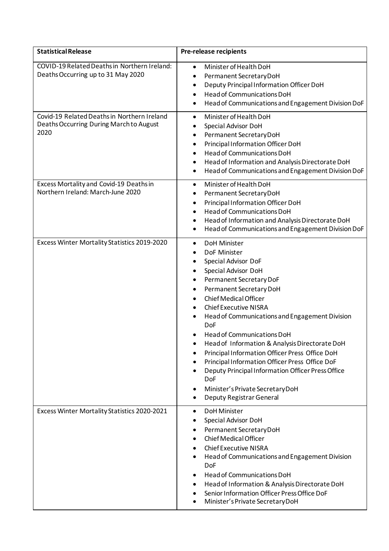| <b>Statistical Release</b>                                                                     | Pre-release recipients                                                                                                                                                                                                                                                                                                                                                                                                                                                                                                                                                                                                                     |
|------------------------------------------------------------------------------------------------|--------------------------------------------------------------------------------------------------------------------------------------------------------------------------------------------------------------------------------------------------------------------------------------------------------------------------------------------------------------------------------------------------------------------------------------------------------------------------------------------------------------------------------------------------------------------------------------------------------------------------------------------|
| COVID-19 Related Deaths in Northern Ireland:<br>Deaths Occurring up to 31 May 2020             | Minister of Health DoH<br>$\bullet$<br>Permanent Secretary DoH<br>$\bullet$<br>Deputy Principal Information Officer DoH<br>$\bullet$<br><b>Head of Communications DoH</b><br>$\bullet$<br>Head of Communications and Engagement Division DoF<br>$\bullet$                                                                                                                                                                                                                                                                                                                                                                                  |
| Covid-19 Related Deaths in Northern Ireland<br>Deaths Occurring During March to August<br>2020 | Minister of Health DoH<br>$\bullet$<br>Special Advisor DoH<br>Permanent Secretary DoH<br>٠<br>Principal Information Officer DoH<br>٠<br><b>Head of Communications DoH</b><br>Head of Information and Analysis Directorate DoH<br>٠<br>Head of Communications and Engagement Division DoF<br>$\bullet$                                                                                                                                                                                                                                                                                                                                      |
| Excess Mortality and Covid-19 Deaths in<br>Northern Ireland: March-June 2020                   | Minister of Health DoH<br>$\bullet$<br>Permanent Secretary DoH<br>٠<br>Principal Information Officer DoH<br>$\bullet$<br>Head of Communications DoH<br>Head of Information and Analysis Directorate DoH<br>٠<br>Head of Communications and Engagement Division DoF<br>٠                                                                                                                                                                                                                                                                                                                                                                    |
| Excess Winter Mortality Statistics 2019-2020                                                   | DoH Minister<br>٠<br>DoF Minister<br>$\bullet$<br>Special Advisor DoF<br>Special Advisor DoH<br>$\bullet$<br>Permanent Secretary DoF<br>٠<br>Permanent Secretary DoH<br>٠<br><b>Chief Medical Officer</b><br><b>Chief Executive NISRA</b><br>Head of Communications and Engagement Division<br><b>DoF</b><br>Head of Communications DoH<br>Head of Information & Analysis Directorate DoH<br>Principal Information Officer Press Office DoH<br>Principal Information Officer Press Office DoF<br>٠<br>Deputy Principal Information Officer Press Office<br><b>DoF</b><br>Minister's Private Secretary DoH<br>Deputy Registrar General<br>٠ |
| Excess Winter Mortality Statistics 2020-2021                                                   | <b>DoH Minister</b><br>٠<br>Special Advisor DoH<br>Permanent Secretary DoH<br><b>Chief Medical Officer</b><br><b>Chief Executive NISRA</b><br>Head of Communications and Engagement Division<br><b>DoF</b><br><b>Head of Communications DoH</b><br>Head of Information & Analysis Directorate DoH<br>٠<br>Senior Information Officer Press Office DoF<br>Minister's Private Secretary DoH                                                                                                                                                                                                                                                  |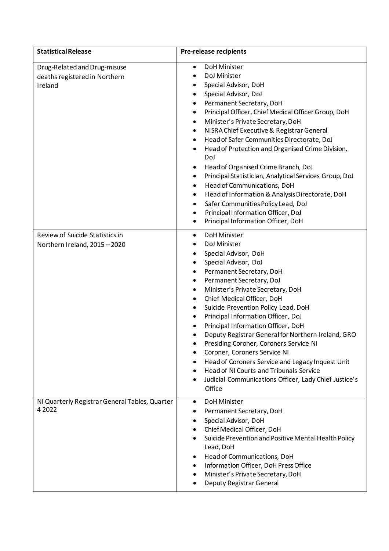| <b>Statistical Release</b>                                               | <b>Pre-release recipients</b>                                                                                                                                                                                                                                                                                                                                                                                                                                                                                                                                                                                                                                                                                                                                                  |
|--------------------------------------------------------------------------|--------------------------------------------------------------------------------------------------------------------------------------------------------------------------------------------------------------------------------------------------------------------------------------------------------------------------------------------------------------------------------------------------------------------------------------------------------------------------------------------------------------------------------------------------------------------------------------------------------------------------------------------------------------------------------------------------------------------------------------------------------------------------------|
| Drug-Related and Drug-misuse<br>deaths registered in Northern<br>Ireland | <b>DoH Minister</b><br>$\bullet$<br>DoJ Minister<br>$\bullet$<br>Special Advisor, DoH<br>٠<br>Special Advisor, DoJ<br>Permanent Secretary, DoH<br>٠<br>Principal Officer, Chief Medical Officer Group, DoH<br>٠<br>Minister's Private Secretary, DoH<br>٠<br>NISRA Chief Executive & Registrar General<br>٠<br>Head of Safer Communities Directorate, DoJ<br>٠<br>Head of Protection and Organised Crime Division,<br>٠<br>DoJ<br>Head of Organised Crime Branch, DoJ<br>٠<br>Principal Statistician, Analytical Services Group, DoJ<br>٠<br>Head of Communications, DoH<br>٠<br>Head of Information & Analysis Directorate, DoH<br>٠<br>Safer Communities Policy Lead, DoJ<br>٠<br>Principal Information Officer, DoJ<br>$\bullet$<br>Principal Information Officer, DoH<br>٠ |
| Review of Suicide Statistics in<br>Northern Ireland, 2015 - 2020         | <b>DoH Minister</b><br>٠<br>DoJ Minister<br>Special Advisor, DoH<br>٠<br>Special Advisor, DoJ<br>Permanent Secretary, DoH<br>٠<br>Permanent Secretary, DoJ<br>٠<br>Minister's Private Secretary, DoH<br>٠<br>Chief Medical Officer, DoH<br>٠<br>Suicide Prevention Policy Lead, DoH<br>٠<br>Principal Information Officer, DoJ<br>٠<br>Principal Information Officer, DoH<br>٠<br>Deputy Registrar General for Northern Ireland, GRO<br>٠<br>Presiding Coroner, Coroners Service NI<br>Coroner, Coroners Service NI<br>Head of Coroners Service and Legacy Inquest Unit<br><b>Head of NI Courts and Tribunals Service</b><br>Judicial Communications Officer, Lady Chief Justice's<br>Office                                                                                   |
| NI Quarterly Registrar General Tables, Quarter<br>4 2022                 | <b>DoH Minister</b><br>$\bullet$<br>Permanent Secretary, DoH<br>٠<br>Special Advisor, DoH<br>Chief Medical Officer, DoH<br>Suicide Prevention and Positive Mental Health Policy<br>Lead, DoH<br>Head of Communications, DoH<br>٠<br>Information Officer, DoH Press Office<br>Minister's Private Secretary, DoH<br>Deputy Registrar General                                                                                                                                                                                                                                                                                                                                                                                                                                     |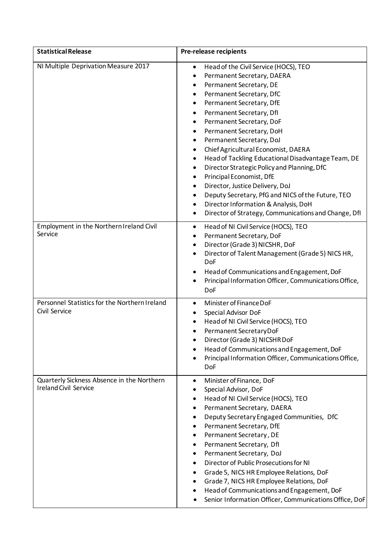| <b>Statistical Release</b>                                                 | <b>Pre-release recipients</b>                                                                                                                                                                                                                                                                                                                                                                                                                                                                                                                                                                                                                                                                                                                             |
|----------------------------------------------------------------------------|-----------------------------------------------------------------------------------------------------------------------------------------------------------------------------------------------------------------------------------------------------------------------------------------------------------------------------------------------------------------------------------------------------------------------------------------------------------------------------------------------------------------------------------------------------------------------------------------------------------------------------------------------------------------------------------------------------------------------------------------------------------|
| NI Multiple Deprivation Measure 2017                                       | Head of the Civil Service (HOCS), TEO<br>$\bullet$<br>Permanent Secretary, DAERA<br>٠<br>Permanent Secretary, DE<br>٠<br>Permanent Secretary, DfC<br>Permanent Secretary, DfE<br>٠<br>Permanent Secretary, Dfl<br>Permanent Secretary, DoF<br>٠<br>Permanent Secretary, DoH<br>$\bullet$<br>Permanent Secretary, DoJ<br>٠<br>Chief Agricultural Economist, DAERA<br>٠<br>Head of Tackling Educational Disadvantage Team, DE<br>$\bullet$<br>Director Strategic Policy and Planning, DfC<br>٠<br>Principal Economist, DfE<br>٠<br>Director, Justice Delivery, DoJ<br>$\bullet$<br>Deputy Secretary, PfG and NICS of the Future, TEO<br>٠<br>Director Information & Analysis, DoH<br>٠<br>Director of Strategy, Communications and Change, Dfl<br>$\bullet$ |
| Employment in the Northern Ireland Civil<br>Service                        | Head of NI Civil Service (HOCS), TEO<br>$\bullet$<br>Permanent Secretary, DoF<br>$\bullet$<br>Director (Grade 3) NICSHR, DoF<br>$\bullet$<br>Director of Talent Management (Grade 5) NICS HR,<br>٠<br><b>DoF</b><br>Head of Communications and Engagement, DoF<br>Principal Information Officer, Communications Office,<br>٠<br>DoF                                                                                                                                                                                                                                                                                                                                                                                                                       |
| Personnel Statistics for the Northern Ireland<br>Civil Service             | Minister of Finance DoF<br>$\bullet$<br>Special Advisor DoF<br>Head of NI Civil Service (HOCS), TEO<br>Permanent Secretary DoF<br>٠<br>Director (Grade 3) NICSHR DoF<br>Head of Communications and Engagement, DoF<br>Principal Information Officer, Communications Office,<br>٠<br><b>DoF</b>                                                                                                                                                                                                                                                                                                                                                                                                                                                            |
| Quarterly Sickness Absence in the Northern<br><b>Ireland Civil Service</b> | Minister of Finance, DoF<br>$\bullet$<br>Special Advisor, DoF<br>Head of NI Civil Service (HOCS), TEO<br>Permanent Secretary, DAERA<br>Deputy Secretary Engaged Communities, DfC<br>Permanent Secretary, DfE<br>Permanent Secretary, DE<br>Permanent Secretary, Dfl<br>٠<br>Permanent Secretary, DoJ<br>Director of Public Prosecutions for NI<br>Grade 5, NICS HR Employee Relations, DoF<br>٠<br>Grade 7, NICS HR Employee Relations, DoF<br>Head of Communications and Engagement, DoF<br>Senior Information Officer, Communications Office, DoF                                                                                                                                                                                                       |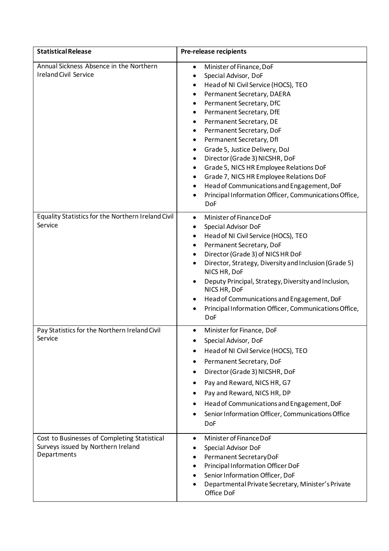| <b>Statistical Release</b>                                                                        | <b>Pre-release recipients</b>                                                                                                                                                                                                                                                                                                                                                                                                                                                                                                                                                                                                                           |
|---------------------------------------------------------------------------------------------------|---------------------------------------------------------------------------------------------------------------------------------------------------------------------------------------------------------------------------------------------------------------------------------------------------------------------------------------------------------------------------------------------------------------------------------------------------------------------------------------------------------------------------------------------------------------------------------------------------------------------------------------------------------|
| Annual Sickness Absence in the Northern<br><b>Ireland Civil Service</b>                           | Minister of Finance, DoF<br>٠<br>Special Advisor, DoF<br>$\bullet$<br>Head of NI Civil Service (HOCS), TEO<br>٠<br>Permanent Secretary, DAERA<br>Permanent Secretary, DfC<br>$\bullet$<br>Permanent Secretary, DfE<br>٠<br>Permanent Secretary, DE<br>٠<br>Permanent Secretary, DoF<br>٠<br>Permanent Secretary, Dfl<br>٠<br>Grade 5, Justice Delivery, DoJ<br>٠<br>Director (Grade 3) NICSHR, DoF<br>$\bullet$<br>Grade 5, NICS HR Employee Relations DoF<br>٠<br>Grade 7, NICS HR Employee Relations DoF<br>٠<br>Head of Communications and Engagement, DoF<br>$\bullet$<br>Principal Information Officer, Communications Office,<br>$\bullet$<br>DoF |
| Equality Statistics for the Northern Ireland Civil<br>Service                                     | Minister of Finance DoF<br>$\bullet$<br>Special Advisor DoF<br>٠<br>Head of NI Civil Service (HOCS), TEO<br>٠<br>Permanent Secretary, DoF<br>Director (Grade 3) of NICS HR DoF<br>٠<br>Director, Strategy, Diversity and Inclusion (Grade 5)<br>٠<br>NICS HR, DoF<br>Deputy Principal, Strategy, Diversity and Inclusion,<br>NICS HR, DoF<br>Head of Communications and Engagement, DoF<br>Principal Information Officer, Communications Office,<br><b>DoF</b>                                                                                                                                                                                          |
| Pay Statistics for the Northern Ireland Civil<br>Service                                          | Minister for Finance, DoF<br>$\bullet$<br>Special Advisor, DoF<br>Head of NI Civil Service (HOCS), TEO<br>Permanent Secretary, DoF<br>Director (Grade 3) NICSHR, DoF<br>Pay and Reward, NICS HR, G7<br>Pay and Reward, NICS HR, DP<br>Head of Communications and Engagement, DoF<br>Senior Information Officer, Communications Office<br>DoF                                                                                                                                                                                                                                                                                                            |
| Cost to Businesses of Completing Statistical<br>Surveys issued by Northern Ireland<br>Departments | Minister of Finance DoF<br>Special Advisor DoF<br>Permanent Secretary DoF<br>Principal Information Officer DoF<br>Senior Information Officer, DoF<br>Departmental Private Secretary, Minister's Private<br>Office DoF                                                                                                                                                                                                                                                                                                                                                                                                                                   |